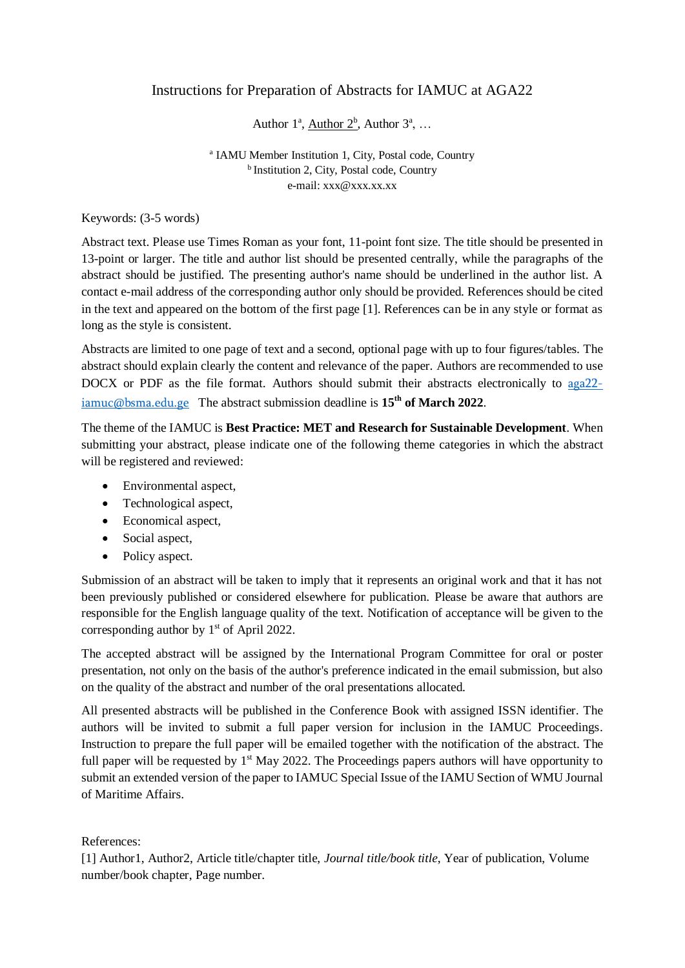# Instructions for Preparation of Abstracts for IAMUC at AGA22

# Author  $1^{\text{a}}$ , <u>Author  $2^{\text{b}}$ </u>, Author  $3^{\text{a}}$ , ...

### <sup>a</sup> IAMU Member Institution 1, City, Postal code, Country <sup>b</sup> Institution 2, City, Postal code, Country e-mail: xxx@xxx.xx.xx

Keywords: (3-5 words)

Abstract text. Please use Times Roman as your font, 11-point font size. The title should be presented in 13-point or larger. The title and author list should be presented centrally, while the paragraphs of the abstract should be justified. The presenting author's name should be underlined in the author list. A contact e-mail address of the corresponding author only should be provided. References should be cited in the text and appeared on the bottom of the first page [1]. References can be in any style or format as long as the style is consistent.

Abstracts are limited to one page of text and a second, optional page with up to four figures/tables. The abstract should explain clearly the content and relevance of the paper. Authors are recommended to use DOCX or PDF as the file format. Authors should submit their abstracts electronically to [aga22](mailto:aga22-iamuc@bsma.edu.ge) [iamuc@bsma.edu.ge](mailto:aga22-iamuc@bsma.edu.ge) The abstract submission deadline is **15 th of March 2022**.

The theme of the IAMUC is **Best Practice: MET and Research for Sustainable Development**. When submitting your abstract, please indicate one of the following theme categories in which the abstract will be registered and reviewed:

- Environmental aspect.
- Technological aspect,
- Economical aspect,
- Social aspect,
- Policy aspect.

Submission of an abstract will be taken to imply that it represents an original work and that it has not been previously published or considered elsewhere for publication. Please be aware that authors are responsible for the English language quality of the text. Notification of acceptance will be given to the corresponding author by  $1<sup>st</sup>$  of April 2022.

The accepted abstract will be assigned by the International Program Committee for oral or poster presentation, not only on the basis of the author's preference indicated in the email submission, but also on the quality of the abstract and number of the oral presentations allocated.

All presented abstracts will be published in the Conference Book with assigned ISSN identifier. The authors will be invited to submit a full paper version for inclusion in the IAMUC Proceedings. Instruction to prepare the full paper will be emailed together with the notification of the abstract. The full paper will be requested by 1<sup>st</sup> May 2022. The Proceedings papers authors will have opportunity to submit an extended version of the paper to IAMUC Special Issue of the IAMU Section of WMU Journal of Maritime Affairs.

## References:

[1] Author1, Author2, Article title/chapter title, *Journal title/book title*, Year of publication, Volume number/book chapter, Page number.